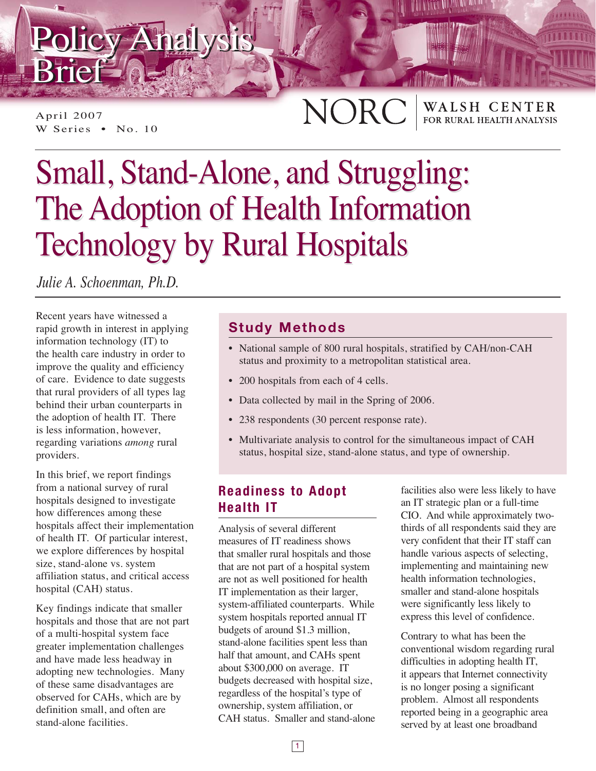# Policy Analysis Policy Analysis Brief Brief

April 2007 W Series • No. 10

## NORC WALSH CENTER<br>FOR RURAL HEALTH ANALYSIS

# Small, Stand-Alone, and Struggling: Small, Stand-Alone, and Struggling: The Adoption of Health Information The Adoption of Health Information Technology by Rural Hospitals Technology by Rural Hospitals

*Julie A. Schoenman, Ph.D.*

Recent years have witnessed a rapid growth in interest in applying information technology (IT) to the health care industry in order to improve the quality and efficiency of care. Evidence to date suggests that rural providers of all types lag behind their urban counterparts in the adoption of health IT. There is less information, however, regarding variations *among* rural providers.

In this brief, we report findings from a national survey of rural hospitals designed to investigate how differences among these hospitals affect their implementation of health IT. Of particular interest, we explore differences by hospital size, stand-alone vs. system affiliation status, and critical access hospital (CAH) status.

Key findings indicate that smaller hospitals and those that are not part of a multi-hospital system face greater implementation challenges and have made less headway in adopting new technologies. Many of these same disadvantages are observed for CAHs, which are by definition small, and often are stand-alone facilities.

## **Study Methods**

- National sample of 800 rural hospitals, stratified by CAH/non-CAH status and proximity to a metropolitan statistical area.
- 200 hospitals from each of 4 cells.
- Data collected by mail in the Spring of 2006.
- 238 respondents (30 percent response rate).
- Multivariate analysis to control for the simultaneous impact of CAH status, hospital size, stand-alone status, and type of ownership.

## **Readiness to Adopt Health IT**

Analysis of several different measures of IT readiness shows that smaller rural hospitals and those that are not part of a hospital system are not as well positioned for health IT implementation as their larger, system-affiliated counterparts. While system hospitals reported annual IT budgets of around \$1.3 million, stand-alone facilities spent less than half that amount, and CAHs spent about \$300,000 on average. IT budgets decreased with hospital size, regardless of the hospital's type of ownership, system affiliation, or CAH status. Smaller and stand-alone facilities also were less likely to have an IT strategic plan or a full-time CIO. And while approximately twothirds of all respondents said they are very confident that their IT staff can handle various aspects of selecting, implementing and maintaining new health information technologies, smaller and stand-alone hospitals were significantly less likely to express this level of confidence.

Contrary to what has been the conventional wisdom regarding rural difficulties in adopting health IT, it appears that Internet connectivity is no longer posing a significant problem. Almost all respondents reported being in a geographic area served by at least one broadband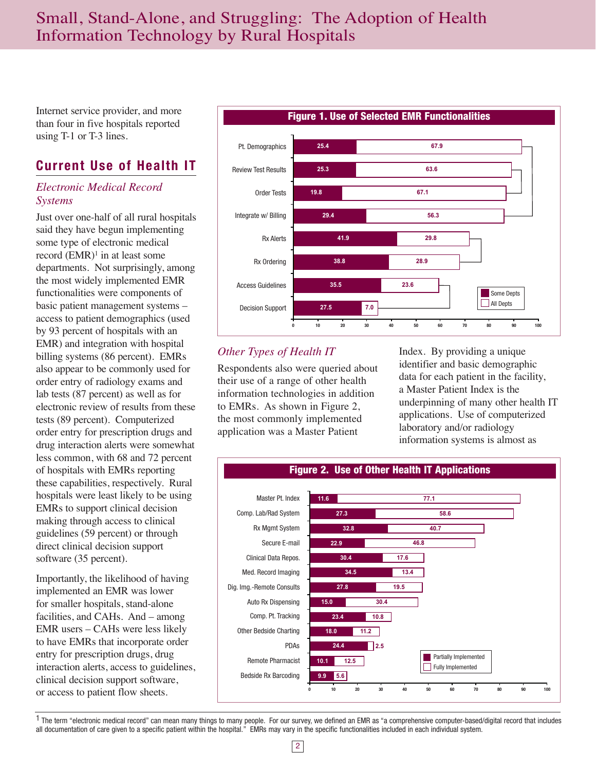## Small, Stand-Alone, and Struggling: The Adoption of Health Information Technology by Rural Hospitals

Internet service provider, and more than four in five hospitals reported using T-1 or T-3 lines.

## **Current Use of Health IT**

#### *Electronic Medical Record Systems*

Just over one-half of all rural hospitals said they have begun implementing some type of electronic medical record  $(EMR)^1$  in at least some departments. Not surprisingly, among the most widely implemented EMR functionalities were components of basic patient management systems – access to patient demographics (used by 93 percent of hospitals with an EMR) and integration with hospital billing systems (86 percent). EMRs also appear to be commonly used for order entry of radiology exams and lab tests (87 percent) as well as for electronic review of results from these tests (89 percent). Computerized order entry for prescription drugs and drug interaction alerts were somewhat less common, with 68 and 72 percent of hospitals with EMRs reporting these capabilities, respectively. Rural hospitals were least likely to be using EMRs to support clinical decision making through access to clinical guidelines (59 percent) or through direct clinical decision support software (35 percent).

Importantly, the likelihood of having implemented an EMR was lower for smaller hospitals, stand-alone facilities, and CAHs. And – among EMR users – CAHs were less likely to have EMRs that incorporate order entry for prescription drugs, drug interaction alerts, access to guidelines, clinical decision support software, or access to patient flow sheets.



### *Other Types of Health IT*

Respondents also were queried about their use of a range of other health information technologies in addition to EMRs. As shown in Figure 2, the most commonly implemented application was a Master Patient

Index. By providing a unique identifier and basic demographic data for each patient in the facility, a Master Patient Index is the underpinning of many other health IT applications. Use of computerized laboratory and/or radiology information systems is almost as



<sup>1</sup> The term "electronic medical record" can mean many things to many people. For our survey, we defined an EMR as "a comprehensive computer-based/digital record that includes all documentation of care given to a specific patient within the hospital." EMRs may vary in the specific functionalities included in each individual system.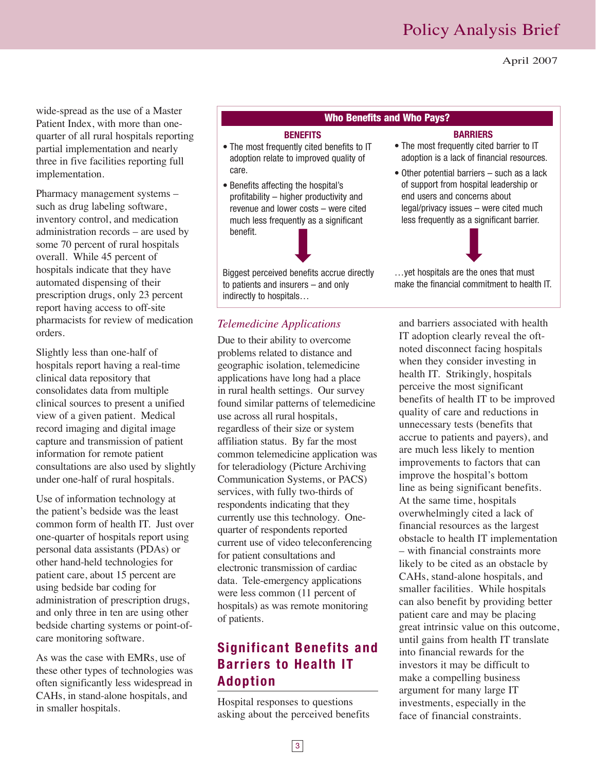April 2007

wide-spread as the use of a Master Patient Index, with more than onequarter of all rural hospitals reporting partial implementation and nearly three in five facilities reporting full implementation.

Pharmacy management systems – such as drug labeling software, inventory control, and medication administration records – are used by some 70 percent of rural hospitals overall. While 45 percent of hospitals indicate that they have automated dispensing of their prescription drugs, only 23 percent report having access to off-site pharmacists for review of medication orders.

Slightly less than one-half of hospitals report having a real-time clinical data repository that consolidates data from multiple clinical sources to present a unified view of a given patient. Medical record imaging and digital image capture and transmission of patient information for remote patient consultations are also used by slightly under one-half of rural hospitals.

Use of information technology at the patient's bedside was the least common form of health IT. Just over one-quarter of hospitals report using personal data assistants (PDAs) or other hand-held technologies for patient care, about 15 percent are using bedside bar coding for administration of prescription drugs, and only three in ten are using other bedside charting systems or point-ofcare monitoring software.

As was the case with EMRs, use of these other types of technologies was often significantly less widespread in CAHs, in stand-alone hospitals, and in smaller hospitals.

#### **Who Benefits and Who Pays?**

#### **BENEFITS**

- The most frequently cited benefits to IT adoption relate to improved quality of care.
- Benefits affecting the hospital's profitability – higher productivity and revenue and lower costs – were cited much less frequently as a significant benefit.



#### *Telemedicine Applications*

Due to their ability to overcome problems related to distance and geographic isolation, telemedicine applications have long had a place in rural health settings. Our survey found similar patterns of telemedicine use across all rural hospitals, regardless of their size or system affiliation status. By far the most common telemedicine application was for teleradiology (Picture Archiving Communication Systems, or PACS) services, with fully two-thirds of respondents indicating that they currently use this technology. Onequarter of respondents reported current use of video teleconferencing for patient consultations and electronic transmission of cardiac data. Tele-emergency applications were less common (11 percent of hospitals) as was remote monitoring of patients.

## **Significant Benefits and Barriers to Health IT Adoption**

Hospital responses to questions asking about the perceived benefits

**BARRIERS** • The most frequently cited barrier to IT adoption is a lack of financial resources.

• Other potential barriers – such as a lack of support from hospital leadership or end users and concerns about legal/privacy issues – were cited much less frequently as a significant barrier.



…yet hospitals are the ones that must make the financial commitment to health IT.

and barriers associated with health IT adoption clearly reveal the oftnoted disconnect facing hospitals when they consider investing in health IT. Strikingly, hospitals perceive the most significant benefits of health IT to be improved quality of care and reductions in unnecessary tests (benefits that accrue to patients and payers), and are much less likely to mention improvements to factors that can improve the hospital's bottom line as being significant benefits. At the same time, hospitals overwhelmingly cited a lack of financial resources as the largest obstacle to health IT implementation – with financial constraints more likely to be cited as an obstacle by CAHs, stand-alone hospitals, and smaller facilities. While hospitals can also benefit by providing better patient care and may be placing great intrinsic value on this outcome, until gains from health IT translate into financial rewards for the investors it may be difficult to make a compelling business argument for many large IT investments, especially in the face of financial constraints.